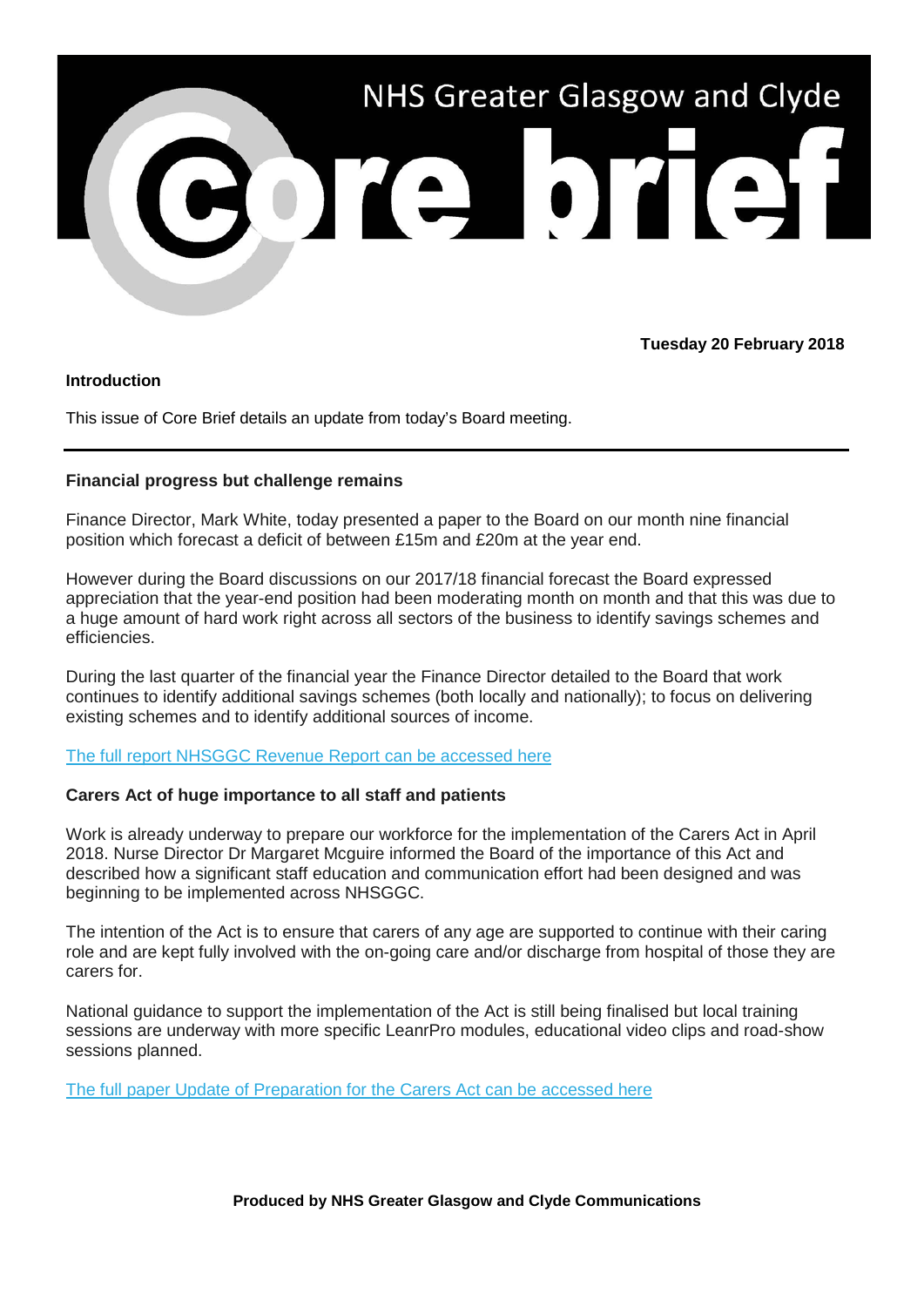

## **Tuesday 20 February 2018**

### **Introduction**

This issue of Core Brief details an update from today's Board meeting.

## **Financial progress but challenge remains**

Finance Director, Mark White, today presented a paper to the Board on our month nine financial position which forecast a deficit of between £15m and £20m at the year end.

However during the Board discussions on our 2017/18 financial forecast the Board expressed appreciation that the year-end position had been moderating month on month and that this was due to a huge amount of hard work right across all sectors of the business to identify savings schemes and efficiencies.

During the last quarter of the financial year the Finance Director detailed to the Board that work continues to identify additional savings schemes (both locally and nationally); to focus on delivering existing schemes and to identify additional sources of income.

# [The full report NHSGGC Revenue Report can be accessed here](http://www.nhsggc.org.uk/media/246295/20-1810-nhsggc-month-9-board-report-final.pdf)

### **Carers Act of huge importance to all staff and patients**

Work is already underway to prepare our workforce for the implementation of the Carers Act in April 2018. Nurse Director Dr Margaret Mcguire informed the Board of the importance of this Act and described how a significant staff education and communication effort had been designed and was beginning to be implemented across NHSGGC.

The intention of the Act is to ensure that carers of any age are supported to continue with their caring role and are kept fully involved with the on-going care and/or discharge from hospital of those they are carers for.

National guidance to support the implementation of the Act is still being finalised but local training sessions are underway with more specific LeanrPro modules, educational video clips and road-show sessions planned.

[The full paper Update of Preparation for the Carers Act can be accessed here](http://www.nhsggc.org.uk/media/246292/17-1807-carers-board-paper-feb-18-final.pdf)